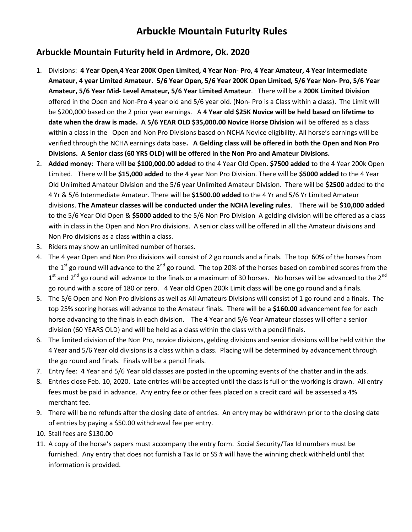## Arbuckle Mountain Futurity Rules

## Arbuckle Mountain Futurity held in Ardmore, Ok. 2020

- 1. Divisions: 4 Year Open,4 Year 200K Open Limited, 4 Year Non- Pro, 4 Year Amateur, 4 Year Intermediate Amateur, 4 year Limited Amateur. 5/6 Year Open, 5/6 Year 200K Open Limited, 5/6 Year Non- Pro, 5/6 Year Amateur, 5/6 Year Mid- Level Amateur, 5/6 Year Limited Amateur. There will be a 200K Limited Division offered in the Open and Non-Pro 4 year old and 5/6 year old. (Non- Pro is a Class within a class). The Limit will be \$200,000 based on the 2 prior year earnings. A 4 Year old \$25K Novice will be held based on lifetime to date when the draw is made. A 5/6 YEAR OLD \$35,000.00 Novice Horse Division will be offered as a class within a class in the Open and Non Pro Divisions based on NCHA Novice eligibility. All horse's earnings will be verified through the NCHA earnings data base. A Gelding class will be offered in both the Open and Non Pro Divisions. A Senior class (60 YRS OLD) will be offered in the Non Pro and Amateur Divisions.
- 2. Added money: There will be \$100,000.00 added to the 4 Year Old Open. \$7500 added to the 4 Year 200k Open Limited. There will be \$15,000 added to the 4 year Non Pro Division. There will be \$5000 added to the 4 Year Old Unlimited Amateur Division and the 5/6 year Unlimited Amateur Division. There will be \$2500 added to the 4 Yr & 5/6 Intermediate Amateur. There will be \$1500.00 added to the 4 Yr and 5/6 Yr Limited Amateur divisions. The Amateur classes will be conducted under the NCHA leveling rules. There will be \$10,000 added to the 5/6 Year Old Open & \$5000 added to the 5/6 Non Pro Division A gelding division will be offered as a class with in class in the Open and Non Pro divisions. A senior class will be offered in all the Amateur divisions and Non Pro divisions as a class within a class.
- 3. Riders may show an unlimited number of horses.
- 4. The 4 year Open and Non Pro divisions will consist of 2 go rounds and a finals. The top 60% of the horses from the  $1<sup>st</sup>$  go round will advance to the  $2<sup>nd</sup>$  go round. The top 20% of the horses based on combined scores from the  $1^{\text{st}}$  and 2<sup>nd</sup> go round will advance to the finals or a maximum of 30 horses. No horses will be advanced to the 2<sup>nd</sup> go round with a score of 180 or zero. 4 Year old Open 200k Limit class will be one go round and a finals.
- 5. The 5/6 Open and Non Pro divisions as well as All Amateurs Divisions will consist of 1 go round and a finals. The top 25% scoring horses will advance to the Amateur finals. There will be a \$160.00 advancement fee for each horse advancing to the finals in each division. The 4 Year and 5/6 Year Amateur classes will offer a senior division (60 YEARS OLD) and will be held as a class within the class with a pencil finals.
- 6. The limited division of the Non Pro, novice divisions, gelding divisions and senior divisions will be held within the 4 Year and 5/6 Year old divisions is a class within a class. Placing will be determined by advancement through the go round and finals. Finals will be a pencil finals.
- 7. Entry fee: 4 Year and 5/6 Year old classes are posted in the upcoming events of the chatter and in the ads.
- 8. Entries close Feb. 10, 2020. Late entries will be accepted until the class is full or the working is drawn. All entry fees must be paid in advance. Any entry fee or other fees placed on a credit card will be assessed a 4% merchant fee.
- 9. There will be no refunds after the closing date of entries. An entry may be withdrawn prior to the closing date of entries by paying a \$50.00 withdrawal fee per entry.
- 10. Stall fees are \$130.00
- 11. A copy of the horse's papers must accompany the entry form. Social Security/Tax Id numbers must be furnished. Any entry that does not furnish a Tax Id or SS # will have the winning check withheld until that information is provided.